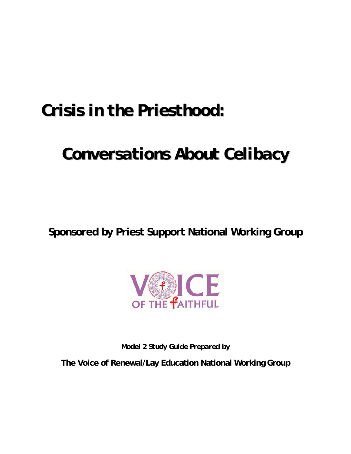# *Crisis in the Priesthood:*

# *Conversations About Celibacy*

**Sponsored by Priest Support National Working Group** 



*Model 2 Study Guide Prepared by* 

**The Voice of Renewal/Lay Education National Working Group**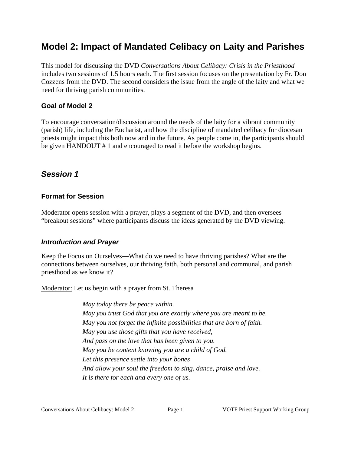# **Model 2: Impact of Mandated Celibacy on Laity and Parishes**

This model for discussing the DVD *Conversations About Celibacy: Crisis in the Priesthood* includes two sessions of 1.5 hours each. The first session focuses on the presentation by Fr. Don Cozzens from the DVD. The second considers the issue from the angle of the laity and what we need for thriving parish communities.

#### **Goal of Model 2**

To encourage conversation/discussion around the needs of the laity for a vibrant community (parish) life, including the Eucharist, and how the discipline of mandated celibacy for diocesan priests might impact this both now and in the future. As people come in, the participants should be given HANDOUT # 1 and encouraged to read it before the workshop begins.

## *Session 1*

#### **Format for Session**

Moderator opens session with a prayer, plays a segment of the DVD, and then oversees "breakout sessions" where participants discuss the ideas generated by the DVD viewing.

### *Introduction and Prayer*

Keep the Focus on Ourselves—What do we need to have thriving parishes? What are the connections between ourselves, our thriving faith, both personal and communal, and parish priesthood as we know it?

Moderator: Let us begin with a prayer from St. Theresa

*May today there be peace within. May you trust God that you are exactly where you are meant to be. May you not forget the infinite possibilities that are born of faith. May you use those gifts that you have received, And pass on the love that has been given to you. May you be content knowing you are a child of God. Let this presence settle into your bones And allow your soul the freedom to sing, dance, praise and love. It is there for each and every one of us.*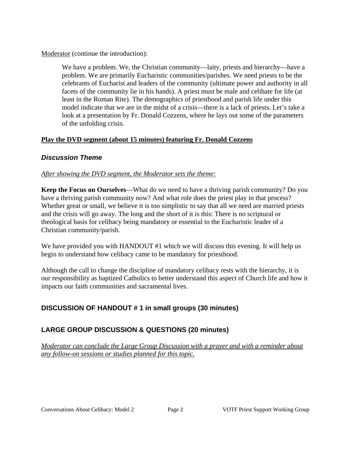Moderator (continue the introduction):

We have a problem. We, the Christian community—laity, priests and hierarchy—have a problem. We are primarily Eucharistic communities/parishes. We need priests to be the celebrants of Eucharist and leaders of the community (ultimate power and authority in all facets of the community lie in his hands). A priest must be male and celibate for life (at least in the Roman Rite). The demographics of priesthood and parish life under this model indicate that we are in the midst of a crisis—there is a lack of priests. Let's take a look at a presentation by Fr. Donald Cozzens, where he lays out some of the parameters of the unfolding crisis.

#### **Play the DVD segment (about 15 minutes) featuring Fr. Donald Cozzens**

#### *Discussion Theme*

#### *After showing the DVD segment, the Moderator sets the theme:*

**Keep the Focus on Ourselves**—What do we need to have a thriving parish community? Do you have a thriving parish community now? And what role does the priest play in that process? Whether great or small, we believe it is too simplistic to say that all we need are married priests and the crisis will go away. The long and the short of it is this: There is no scriptural or theological basis for celibacy being mandatory or essential to the Eucharistic leader of a Christian community/parish.

We have provided you with HANDOUT #1 which we will discuss this evening. It will help us begin to understand how celibacy came to be mandatory for priesthood.

Although the call to change the discipline of mandatory celibacy rests with the hierarchy, it is our responsibility as baptized Catholics to better understand this aspect of Church life and how it impacts our faith communities and sacramental lives.

#### **DISCUSSION OF HANDOUT # 1 in small groups (30 minutes)**

#### **LARGE GROUP DISCUSSION & QUESTIONS (20 minutes)**

*Moderator can conclude the Large Group Discussion with a prayer and with a reminder about any follow-on sessions or studies planned for this topic.*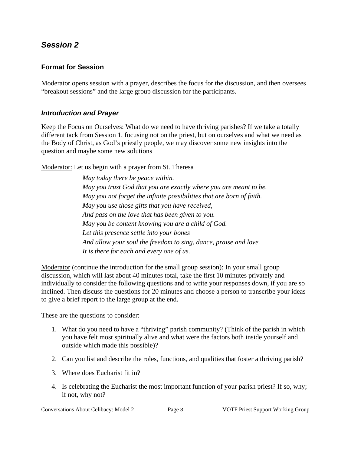### *Session 2*

#### **Format for Session**

Moderator opens session with a prayer, describes the focus for the discussion, and then oversees "breakout sessions" and the large group discussion for the participants.

#### *Introduction and Prayer*

Keep the Focus on Ourselves: What do we need to have thriving parishes? If we take a totally different tack from Session 1, focusing not on the priest, but on ourselves and what we need as the Body of Christ, as God's priestly people, we may discover some new insights into the question and maybe some new solutions

Moderator: Let us begin with a prayer from St. Theresa

*May today there be peace within. May you trust God that you are exactly where you are meant to be. May you not forget the infinite possibilities that are born of faith. May you use those gifts that you have received, And pass on the love that has been given to you. May you be content knowing you are a child of God. Let this presence settle into your bones And allow your soul the freedom to sing, dance, praise and love. It is there for each and every one of us.* 

Moderator (continue the introduction for the small group session): In your small group discussion, which will last about 40 minutes total, take the first 10 minutes privately and individually to consider the following questions and to write your responses down, if you are so inclined. Then discuss the questions for 20 minutes and choose a person to transcribe your ideas to give a brief report to the large group at the end.

These are the questions to consider:

- 1. What do you need to have a "thriving" parish community? (Think of the parish in which you have felt most spiritually alive and what were the factors both inside yourself and outside which made this possible)?
- 2. Can you list and describe the roles, functions, and qualities that foster a thriving parish?
- 3. Where does Eucharist fit in?
- 4. Is celebrating the Eucharist the most important function of your parish priest? If so, why; if not, why not?

Conversations About Celibacy: Model 2 Page 3 VOTF Priest Support Working Group